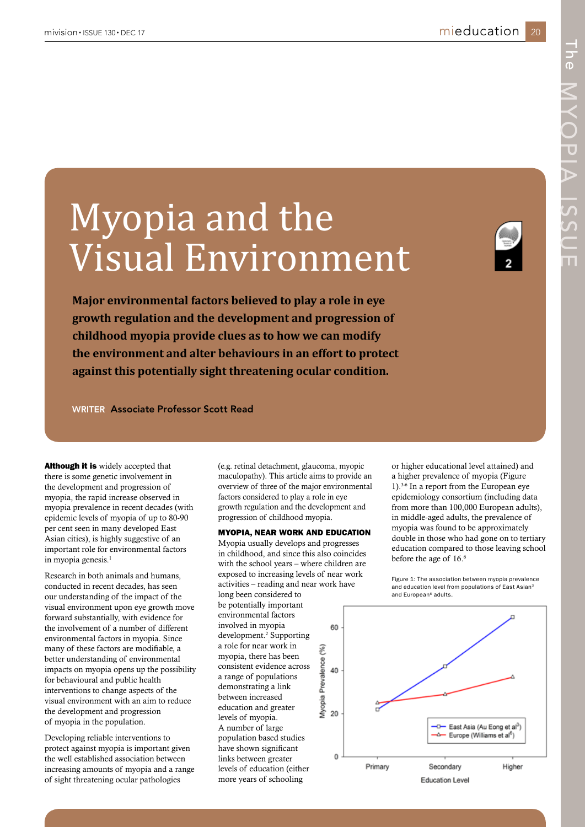# Myopia and the Visual Environment

**Major environmental factors believed to play a role in eye growth regulation and the development and progression of childhood myopia provide clues as to how we can modify the environment and alter behaviours in an effort to protect against this potentially sight threatening ocular condition.**

WRITER Associate Professor Scott Read

**Although it is** widely accepted that there is some genetic involvement in the development and progression of myopia, the rapid increase observed in myopia prevalence in recent decades (with epidemic levels of myopia of up to 80-90 per cent seen in many developed East Asian cities), is highly suggestive of an important role for environmental factors in myopia genesis.<sup>1</sup>

Research in both animals and humans, conducted in recent decades, has seen our understanding of the impact of the visual environment upon eye growth move forward substantially, with evidence for the involvement of a number of different environmental factors in myopia. Since many of these factors are modifiable, a better understanding of environmental impacts on myopia opens up the possibility for behavioural and public health interventions to change aspects of the visual environment with an aim to reduce the development and progression of myopia in the population.

Developing reliable interventions to protect against myopia is important given the well established association between increasing amounts of myopia and a range of sight threatening ocular pathologies

(e.g. retinal detachment, glaucoma, myopic maculopathy). This article aims to provide an overview of three of the major environmental factors considered to play a role in eye growth regulation and the development and progression of childhood myopia.

# MYOPIA, NEAR WORK AND EDUCATION

Myopia usually develops and progresses in childhood, and since this also coincides with the school years – where children are exposed to increasing levels of near work activities – reading and near work have

long been considered to be potentially important environmental factors involved in myopia development.<sup>2</sup> Supporting a role for near work in myopia, there has been consistent evidence across a range of populations demonstrating a link between increased education and greater levels of myopia. A number of large population based studies have shown significant links between greater levels of education (either more years of schooling

or higher educational level attained) and a higher prevalence of myopia (Figure 1).3-6 In a report from the European eye epidemiology consortium (including data from more than 100,000 European adults), in middle-aged adults, the prevalence of myopia was found to be approximately double in those who had gone on to tertiary education compared to those leaving school before the age of 16.<sup>6</sup>

Figure 1: The association between myopia prevalence and education level from populations of East Asian<sup>3</sup> and European<sup>6</sup> adults

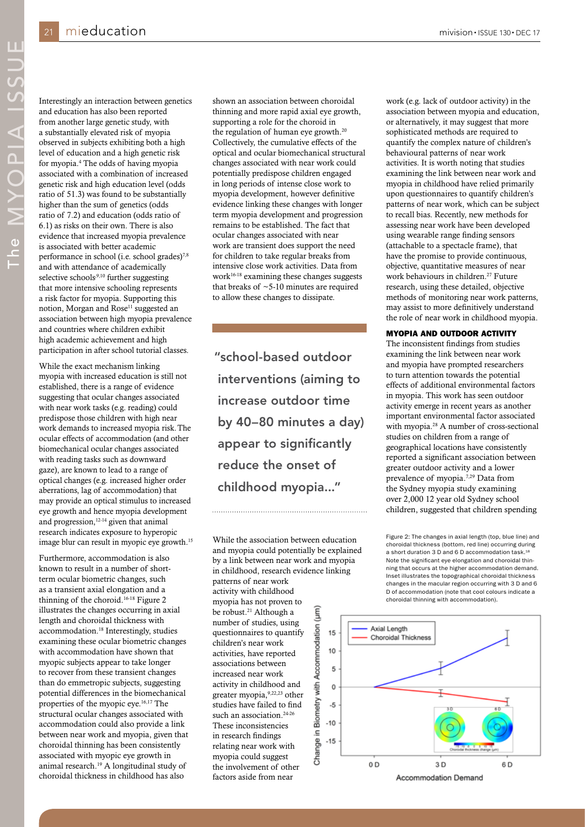Interestingly an interaction between genetics and education has also been reported from another large genetic study, with a substantially elevated risk of myopia observed in subjects exhibiting both a high level of education and a high genetic risk for myopia.4 The odds of having myopia associated with a combination of increased genetic risk and high education level (odds ratio of 51.3) was found to be substantially higher than the sum of genetics (odds ratio of 7.2) and education (odds ratio of 6.1) as risks on their own. There is also evidence that increased myopia prevalence is associated with better academic performance in school (i.e. school grades)7,8 and with attendance of academically selective schools<sup>,9,10</sup> further suggesting that more intensive schooling represents a risk factor for myopia. Supporting this notion, Morgan and Rose<sup>11</sup> suggested an association between high myopia prevalence and countries where children exhibit high academic achievement and high participation in after school tutorial classes.

While the exact mechanism linking myopia with increased education is still not established, there is a range of evidence suggesting that ocular changes associated with near work tasks (e.g. reading) could predispose those children with high near work demands to increased myopia risk. The ocular effects of accommodation (and other biomechanical ocular changes associated with reading tasks such as downward gaze), are known to lead to a range of optical changes (e.g. increased higher order aberrations, lag of accommodation) that may provide an optical stimulus to increased eye growth and hence myopia development and progression,12-14 given that animal research indicates exposure to hyperopic image blur can result in myopic eye growth.15

Furthermore, accommodation is also known to result in a number of shortterm ocular biometric changes, such as a transient axial elongation and a thinning of the choroid.16-18 Figure 2 illustrates the changes occurring in axial length and choroidal thickness with accommodation.18 Interestingly, studies examining these ocular biometric changes with accommodation have shown that myopic subjects appear to take longer to recover from these transient changes than do emmetropic subjects, suggesting potential differences in the biomechanical properties of the myopic eye.16,17 The structural ocular changes associated with accommodation could also provide a link between near work and myopia, given that choroidal thinning has been consistently associated with myopic eye growth in animal research.19 A longitudinal study of choroidal thickness in childhood has also

shown an association between choroidal thinning and more rapid axial eye growth, supporting a role for the choroid in the regulation of human eye growth.<sup>20</sup> Collectively, the cumulative effects of the optical and ocular biomechanical structural changes associated with near work could potentially predispose children engaged in long periods of intense close work to myopia development, however definitive evidence linking these changes with longer term myopia development and progression remains to be established. The fact that ocular changes associated with near work are transient does support the need for children to take regular breaks from intensive close work activities. Data from work $16-18$  examining these changes suggests that breaks of  $\sim$  5-10 minutes are required to allow these changes to dissipate.

"school-based outdoor interventions (aiming to increase outdoor time by 40–80 minutes a day) appear to significantly reduce the onset of childhood myopia..."

While the association between education and myopia could potentially be explained by a link between near work and myopia in childhood, research evidence linking patterns of near work activity with childhood myopia has not proven to be robust.<sup>21</sup> Although a Accommodation (um) number of studies, using questionnaires to quantify 15 children's near work 10 activities, have reported associations between 5 increased near work activity in childhood and Biometry with  $\mathbf 0$ greater myopia,9,22,23 other studies have failed to find  $-5$ such an association.<sup>24-26</sup>  $-10$ These inconsistencies Ξ. in research findings Change  $-15$ relating near work with myopia could suggest the involvement of other

factors aside from near

work (e.g. lack of outdoor activity) in the association between myopia and education, or alternatively, it may suggest that more sophisticated methods are required to quantify the complex nature of children's behavioural patterns of near work activities. It is worth noting that studies examining the link between near work and myopia in childhood have relied primarily upon questionnaires to quantify children's patterns of near work, which can be subject to recall bias. Recently, new methods for assessing near work have been developed using wearable range finding sensors (attachable to a spectacle frame), that have the promise to provide continuous, objective, quantitative measures of near work behaviours in children.<sup>27</sup> Future. research, using these detailed, objective methods of monitoring near work patterns, may assist to more definitively understand the role of near work in childhood myopia.

#### MYOPIA AND OUTDOOR ACTIVITY

The inconsistent findings from studies examining the link between near work and myopia have prompted researchers to turn attention towards the potential effects of additional environmental factors in myopia. This work has seen outdoor activity emerge in recent years as another important environmental factor associated with myopia.<sup>28</sup> A number of cross-sectional studies on children from a range of geographical locations have consistently reported a significant association between greater outdoor activity and a lower prevalence of myopia.7,29 Data from the Sydney myopia study examining over 2,000 12 year old Sydney school children, suggested that children spending

Figure 2: The changes in axial length (top, blue line) and choroidal thickness (bottom, red line) occurring during a short duration 3 D and 6 D accommodation task.<sup>1</sup> Note the significant eye elongation and choroidal thinning that occurs at the higher accommodation demand. Inset illustrates the topographical choroidal thickness changes in the macular region occurring with 3 D and 6 D of accommodation (note that cool colours indicate a choroidal thinning with accommodation).

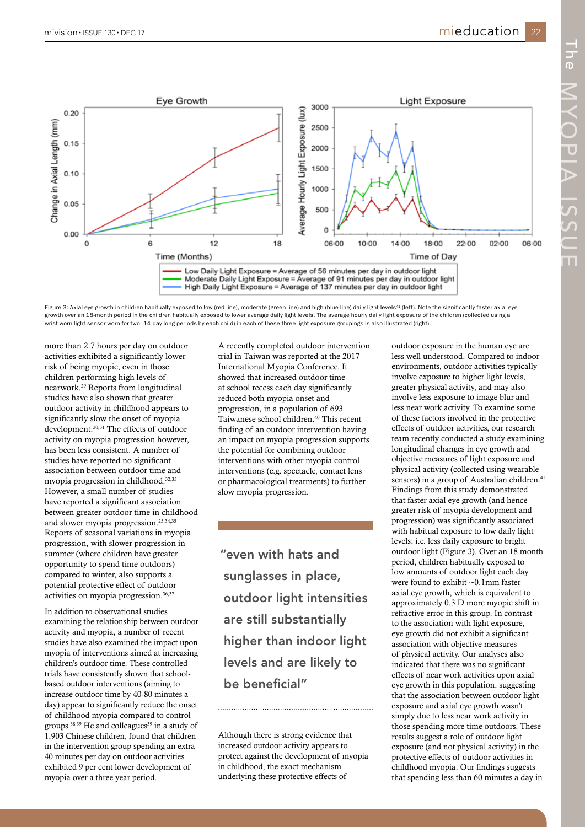

Figure 3: Axial eye growth in children habitually exposed to low (red line), moderate (green line) and high (blue line) daily light levels<sup>41</sup> (left). Note the significantly faster axial eye growth over an 18-month period in the children habitually exposed to lower average daily light levels. The average hourly daily light exposure of the children (collected using a wrist-worn light sensor worn for two, 14-day long periods by each child) in each of these three light exposure groupings is also illustrated (right).

more than 2.7 hours per day on outdoor activities exhibited a significantly lower risk of being myopic, even in those children performing high levels of nearwork.29 Reports from longitudinal studies have also shown that greater outdoor activity in childhood appears to significantly slow the onset of myopia development.30,31 The effects of outdoor activity on myopia progression however, has been less consistent. A number of studies have reported no significant association between outdoor time and myopia progression in childhood.32,33 However, a small number of studies have reported a significant association between greater outdoor time in childhood and slower myopia progression.23,34,35 Reports of seasonal variations in myopia progression, with slower progression in summer (where children have greater opportunity to spend time outdoors) compared to winter, also supports a potential protective effect of outdoor activities on myopia progression.36,37

In addition to observational studies examining the relationship between outdoor activity and myopia, a number of recent studies have also examined the impact upon myopia of interventions aimed at increasing children's outdoor time. These controlled trials have consistently shown that schoolbased outdoor interventions (aiming to increase outdoor time by 40-80 minutes a day) appear to significantly reduce the onset of childhood myopia compared to control groups.<sup>38,39</sup> He and colleagues<sup>39</sup> in a study of 1,903 Chinese children, found that children in the intervention group spending an extra 40 minutes per day on outdoor activities exhibited 9 per cent lower development of myopia over a three year period.

A recently completed outdoor intervention trial in Taiwan was reported at the 2017 International Myopia Conference. It showed that increased outdoor time at school recess each day significantly reduced both myopia onset and progression, in a population of 693 Taiwanese school children.<sup>40</sup> This recent finding of an outdoor intervention having an impact on myopia progression supports the potential for combining outdoor interventions with other myopia control interventions (e.g. spectacle, contact lens or pharmacological treatments) to further slow myopia progression.

"even with hats and sunglasses in place, outdoor light intensities are still substantially higher than indoor light levels and are likely to be beneficial"

Although there is strong evidence that increased outdoor activity appears to protect against the development of myopia in childhood, the exact mechanism underlying these protective effects of

outdoor exposure in the human eye are less well understood. Compared to indoor environments, outdoor activities typically involve exposure to higher light levels, greater physical activity, and may also involve less exposure to image blur and less near work activity. To examine some of these factors involved in the protective effects of outdoor activities, our research team recently conducted a study examining longitudinal changes in eye growth and objective measures of light exposure and physical activity (collected using wearable sensors) in a group of Australian children.<sup>41</sup> Findings from this study demonstrated that faster axial eye growth (and hence greater risk of myopia development and progression) was significantly associated with habitual exposure to low daily light levels; i.e. less daily exposure to bright outdoor light (Figure 3). Over an 18 month period, children habitually exposed to low amounts of outdoor light each day were found to exhibit ~0.1mm faster axial eye growth, which is equivalent to approximately 0.3 D more myopic shift in refractive error in this group. In contrast to the association with light exposure, eye growth did not exhibit a significant association with objective measures of physical activity. Our analyses also indicated that there was no significant effects of near work activities upon axial eye growth in this population, suggesting that the association between outdoor light exposure and axial eye growth wasn't simply due to less near work activity in those spending more time outdoors. These results suggest a role of outdoor light exposure (and not physical activity) in the protective effects of outdoor activities in childhood myopia. Our findings suggests that spending less than 60 minutes a day in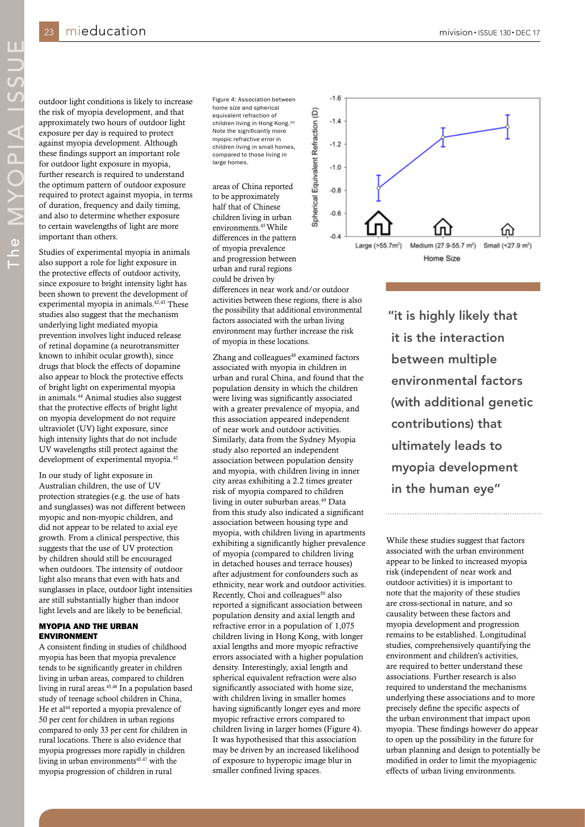The MYOPIA ISSUE

outdoor light conditions is likely to increase the risk of myopia development, and that approximately two hours of outdoor light exposure per day is required to protect against myopia development. Although these findings support an important role for outdoor light exposure in myopia, further research is required to understand the optimum pattern of outdoor exposure required to protect against myopia, in terms of duration, frequency and daily timing, and also to determine whether exposure to certain wavelengths of light are more important than others.

Studies of experimental myopia in animals also support a role for light exposure in the protective effects of outdoor activity, since exposure to bright intensity light has been shown to prevent the development of experimental myopia in animals. $42,43$  These studies also suggest that the mechanism underlying light mediated myopia prevention involves light induced release of retinal dopamine (a neurotransmitter known to inhibit ocular growth), since drugs that block the effects of dopamine also appear to block the protective effects of bright light on experimental myopia in animals.44 Animal studies also suggest that the protective effects of bright light on myopia development do not require ultraviolet (UV) light exposure, since high intensity lights that do not include UV wavelengths still protect against the development of experimental myopia.42

In our study of light exposure in Australian children, the use of UV protection strategies (e.g. the use of hats and sunglasses) was not different between myopic and non-myopic children, and did not appear to be related to axial eye growth. From a clinical perspective, this suggests that the use of UV protection by children should still be encouraged when outdoors. The intensity of outdoor light also means that even with hats and sunglasses in place, outdoor light intensities are still substantially higher than indoor light levels and are likely to be beneficial.

## MYOPIA AND THE URBAN ENVIRONMENT

A consistent finding in studies of childhood myopia has been that myopia prevalence tends to be significantly greater in children living in urban areas, compared to children living in rural areas.<sup>45,46</sup> In a population based study of teenage school children in China, He et al<sup>44</sup> reported a myopia prevalence of 50 per cent for children in urban regions compared to only 33 per cent for children in rural locations. There is also evidence that myopia progresses more rapidly in children living in urban environments $45,47$  with the myopia progression of children in rural

Figure 4: Association between home size and spherical equivalent refraction of children living in Hong Kong.<sup>50</sup> Note the significantly more myopic refractive error in children living in small homes, compared to those living in large homes.

areas of China reported to be approximately half that of Chinese children living in urban environments.45 While differences in the pattern of myopia prevalence and progression between urban and rural regions could be driven by

differences in near work and/or outdoor activities between these regions, there is also the possibility that additional environmental factors associated with the urban living environment may further increase the risk of myopia in these locations.

Zhang and colleagues<sup>48</sup> examined factors associated with myopia in children in urban and rural China, and found that the population density in which the children were living was significantly associated with a greater prevalence of myopia, and this association appeared independent of near work and outdoor activities. Similarly, data from the Sydney Myopia study also reported an independent association between population density and myopia, with children living in inner city areas exhibiting a 2.2 times greater risk of myopia compared to children living in outer suburban areas.49 Data from this study also indicated a significant association between housing type and myopia, with children living in apartments exhibiting a significantly higher prevalence of myopia (compared to children living in detached houses and terrace houses) after adjustment for confounders such as ethnicity, near work and outdoor activities. Recently, Choi and colleagues<sup>50</sup> also reported a significant association between population density and axial length and refractive error in a population of 1,075 children living in Hong Kong, with longer axial lengths and more myopic refractive errors associated with a higher population density. Interestingly, axial length and spherical equivalent refraction were also significantly associated with home size, with children living in smaller homes having significantly longer eyes and more myopic refractive errors compared to children living in larger homes (Figure 4). It was hypothesised that this association may be driven by an increased likelihood of exposure to hyperopic image blur in smaller confined living spaces.



"it is highly likely that it is the interaction between multiple environmental factors (with additional genetic contributions) that ultimately leads to myopia development in the human eye"

While these studies suggest that factors associated with the urban environment appear to be linked to increased myopia risk (independent of near work and outdoor activities) it is important to note that the majority of these studies are cross-sectional in nature, and so causality between these factors and myopia development and progression remains to be established. Longitudinal studies, comprehensively quantifying the environment and children's activities, are required to better understand these associations. Further research is also required to understand the mechanisms underlying these associations and to more precisely define the specific aspects of the urban environment that impact upon myopia. These findings however do appear to open up the possibility in the future for urban planning and design to potentially be modified in order to limit the myopiagenic effects of urban living environments.